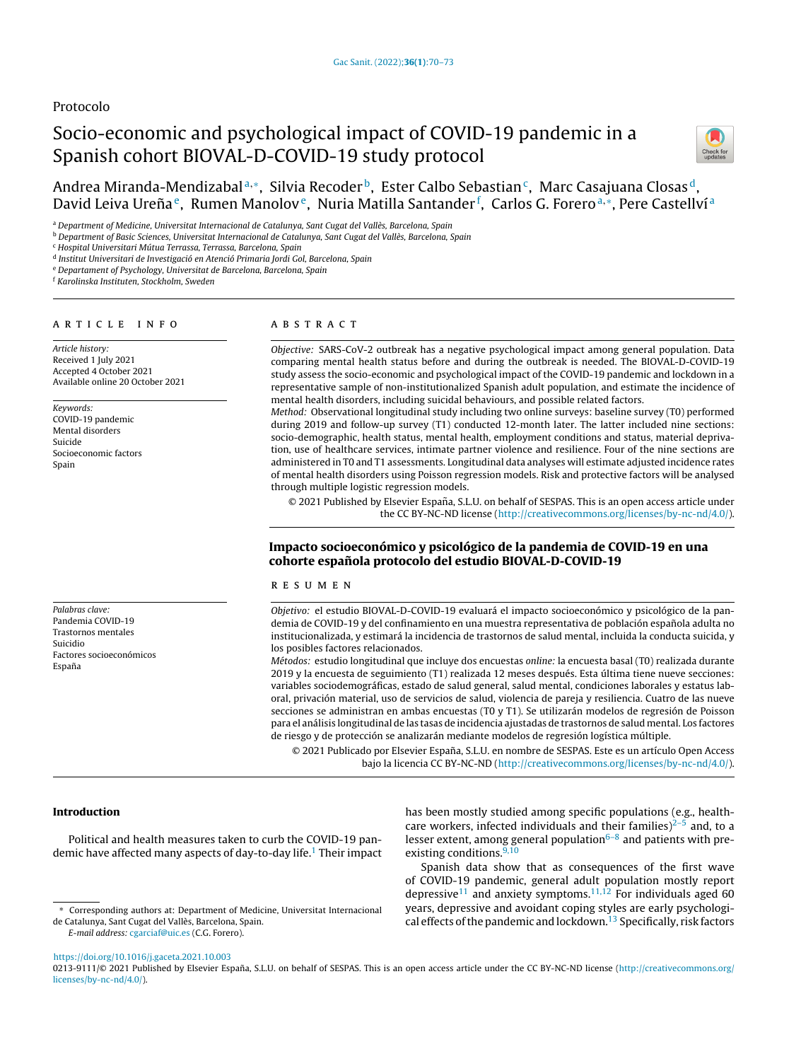# Protocolo

# Socio-economic and psychological impact of COVID-19 pandemic in a Spanish cohort BIOVAL-D-COVID-19 study protocol



Andrea Miranda-Mendizabalª,\*, Silvia Recoder <sup>b</sup>, Ester Calbo Sebastian <sup>c</sup>, Marc Casajuana Closas <sup>d</sup>, David Leiva Ureña<sup>e</sup>, Rumen Manolov<sup>e</sup>, Nuria Matilla Santander <sup>f</sup>, Carlos G. Foreroa,\*, Pere Castellví <sup>a</sup>

a Department of Medicine, Universitat Internacional de Catalunya, Sant Cugat del Vallès, Barcelona, Spain

<sup>b</sup> Department of Basic Sciences, Universitat Internacional de Catalunya, Sant Cugat del Vallès, Barcelona, Spain

<sup>c</sup> Hospital Universitari Mútua Terrassa, Terrassa, Barcelona, Spain

<sup>d</sup> Institut Universitari de Investigació en Atenció Primaria Jordi Gol, Barcelona, Spain

<sup>e</sup> Departament of Psychology, Universitat de Barcelona, Barcelona, Spain

<sup>f</sup> Karolinska Instituten, Stockholm, Sweden

#### a r t i c l e i n f o

Article history: Received 1 July 2021 Accepted 4 October 2021 Available online 20 October 2021

Keywords: COVID-19 pandemic Mental disorders Suicide Socioeconomic factors Spain

Palabras clave: Pandemia COVID-19 Trastornos mentales Suicidio Factores socioeconómicos Espana˜

# a b s t r a c t

Objective: SARS-CoV-2 outbreak has a negative psychological impact among general population. Data comparing mental health status before and during the outbreak is needed. The BIOVAL-D-COVID-19 study assess the socio-economic and psychological impact of the COVID-19 pandemic and lockdown in a representative sample of non-institutionalized Spanish adult population, and estimate the incidence of mental health disorders, including suicidal behaviours, and possible related factors.

Method: Observational longitudinal study including two online surveys: baseline survey (T0) performed during 2019 and follow-up survey (T1) conducted 12-month later. The latter included nine sections: socio-demographic, health status, mental health, employment conditions and status, material deprivation, use of healthcare services, intimate partner violence and resilience. Four of the nine sections are administered in T0 and T1 assessments. Longitudinal data analyses will estimate adjusted incidence rates of mental health disorders using Poisson regression models. Risk and protective factors will be analysed through multiple logistic regression models.

© 2021 Published by Elsevier España, S.L.U. on behalf of SESPAS. This is an open access article under the CC BY-NC-ND license [\(http://creativecommons.org/licenses/by-nc-nd/4.0/](http://creativecommons.org/licenses/by-nc-nd/4.0/)).

# Impacto socioeconómico y psicológico de la pandemia de COVID-19 en una cohorte española protocolo del estudio BIOVAL-D-COVID-19

## r e s u m e n

Objetivo: el estudio BIOVAL-D-COVID-19 evaluará el impacto socioeconómico y psicológico de la pandemia de COVID-19 y del confinamiento en una muestra representativa de población española adulta no institucionalizada, y estimará la incidencia de trastornos de salud mental, incluida la conducta suicida, y los posibles factores relacionados.

Métodos: estudio longitudinal que incluye dos encuestas online: la encuesta basal (T0) realizada durante 2019 y la encuesta de seguimiento (T1) realizada 12 meses después. Esta última tiene nueve secciones: variables sociodemográficas, estado de salud general, salud mental, condiciones laborales y estatus laboral, privación material, uso de servicios de salud, violencia de pareja y resiliencia. Cuatro de las nueve secciones se administran en ambas encuestas (T0 y T1). Se utilizarán modelos de regresión de Poisson para el análisis longitudinal de las tasas de incidencia ajustadas de trastornos de salud mental. Los factores de riesgo y de protección se analizarán mediante modelos de regresión logística múltiple.

© 2021 Publicado por Elsevier España, S.L.U. en nombre de SESPAS. Este es un artículo Open Access bajo la licencia CC BY-NC-ND [\(http://creativecommons.org/licenses/by-nc-nd/4.0/](http://creativecommons.org/licenses/by-nc-nd/4.0/)).

# Introduction

Political and health measures taken to curb the COVID-19 pan-demic have affected many aspects of day-to-day life.<sup>1</sup> [T](#page-3-0)heir impact has been mostly studied among specific populations (e.g., healthcare workers, infected individuals and their families) $2-5$  and, to a lesser extent, among general population $6-8$  and patients with preexisting conditions. $9,10$ 

Spanish data show that as consequences of the first wave of COVID-19 pandemic, general adult population mostly report depressive<sup>[11](#page-3-0)</sup> and anxiety symptoms.<sup>[11,12](#page-3-0)</sup> For individuals aged 60 years, depressive and avoidant coping styles are early psychologi-cal effects of the pandemic and lockdown.<sup>[13](#page-3-0)</sup> Specifically, risk factors

<https://doi.org/10.1016/j.gaceta.2021.10.003>

0213-9111/© 2021 Published by Elsevier España, S.L.U. on behalf of SESPAS. This is an open access article under the CC BY-NC-ND license ([http://creativecommons.org/](http://creativecommons.org/licenses/by-nc-nd/4.0/) [licenses/by-nc-nd/4.0/](http://creativecommons.org/licenses/by-nc-nd/4.0/)).

<sup>∗</sup> Corresponding authors at: Department of Medicine, Universitat Internacional de Catalunya, Sant Cugat del Vallès, Barcelona, Spain. E-mail address: [cgarciaf@uic.es](mailto:cgarciaf@uic.es) (C.G. Forero).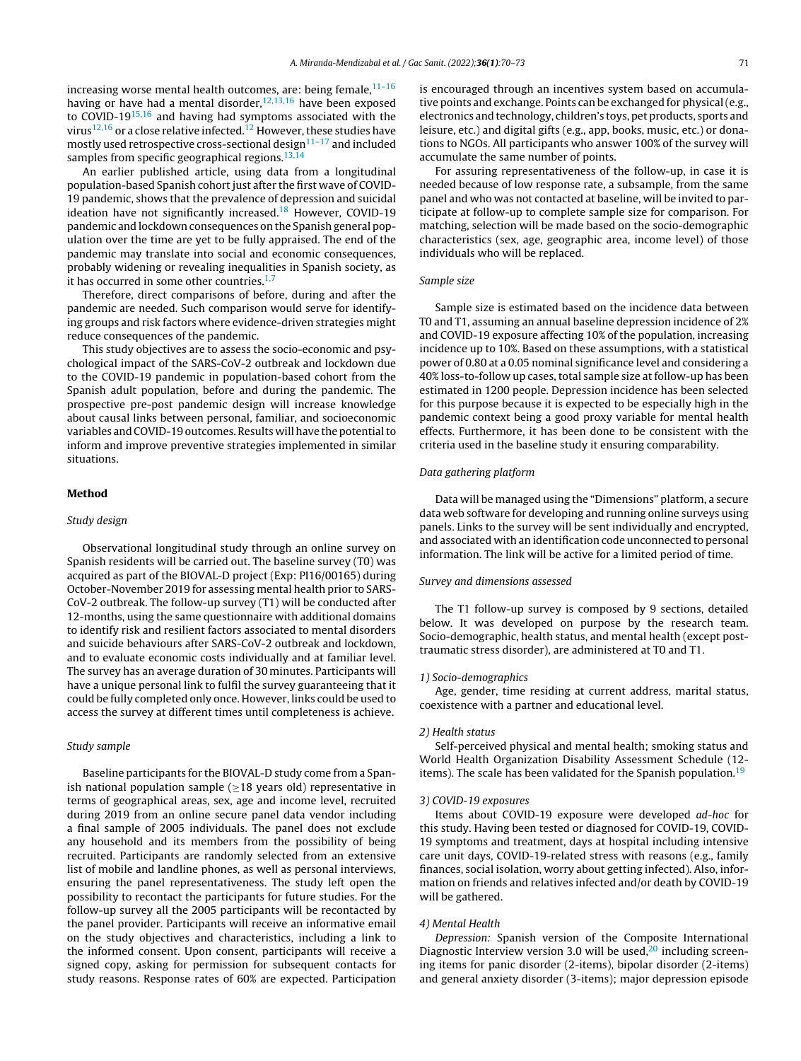increasing worse mental health outcomes, are: being female, $11-16$ having or have had a mental disorder,  $12,13,16$  have been exposed to COVID-19[15,16](#page-3-0) and having had symptoms associated with the virus<sup>[12,16](#page-3-0)</sup> or a close relative infected.<sup>[12](#page-3-0)</sup> However, these studies have mostly used retrospective cross-sectional design $11-17$  and included samples from specific geographical regions.<sup>[13,14](#page-3-0)</sup>

An earlier published article, using data from a longitudinal population-based Spanish cohort just after the first wave of COVID-19 pandemic, shows that the prevalence of depression and suicidal ideation have not significantly increased.<sup>[18](#page-3-0)</sup> However, COVID-19 pandemic and lockdown consequences on the Spanish general population over the time are yet to be fully appraised. The end of the pandemic may translate into social and economic consequences, probably widening or revealing inequalities in Spanish society, as it has occurred in some other countries. $1,7$ 

Therefore, direct comparisons of before, during and after the pandemic are needed. Such comparison would serve for identifying groups and risk factors where evidence-driven strategies might reduce consequences of the pandemic.

This study objectives are to assess the socio-economic and psychological impact of the SARS-CoV-2 outbreak and lockdown due to the COVID-19 pandemic in population-based cohort from the Spanish adult population, before and during the pandemic. The prospective pre-post pandemic design will increase knowledge about causal links between personal, familiar, and socioeconomic variables and COVID-19 outcomes. Results will have the potential to inform and improve preventive strategies implemented in similar situations.

## Method

#### Study design

Observational longitudinal study through an online survey on Spanish residents will be carried out. The baseline survey (T0) was acquired as part of the BIOVAL-D project (Exp: PI16/00165) during October-November 2019 for assessing mental health prior to SARS-CoV-2 outbreak. The follow-up survey (T1) will be conducted after 12-months, using the same questionnaire with additional domains to identify risk and resilient factors associated to mental disorders and suicide behaviours after SARS-CoV-2 outbreak and lockdown, and to evaluate economic costs individually and at familiar level. The survey has an average duration of 30 minutes. Participants will have a unique personal link to fulfil the survey guaranteeing that it could be fully completed only once. However, links could be used to access the survey at different times until completeness is achieve.

# Study sample

Baseline participants for the BIOVAL-D study come from a Spanish national population sample ( $\geq$ 18 years old) representative in terms of geographical areas, sex, age and income level, recruited during 2019 from an online secure panel data vendor including a final sample of 2005 individuals. The panel does not exclude any household and its members from the possibility of being recruited. Participants are randomly selected from an extensive list of mobile and landline phones, as well as personal interviews, ensuring the panel representativeness. The study left open the possibility to recontact the participants for future studies. For the follow-up survey all the 2005 participants will be recontacted by the panel provider. Participants will receive an informative email on the study objectives and characteristics, including a link to the informed consent. Upon consent, participants will receive a signed copy, asking for permission for subsequent contacts for study reasons. Response rates of 60% are expected. Participation is encouraged through an incentives system based on accumulative points and exchange. Points can be exchanged for physical(e.g., electronics and technology, children's toys, pet products, sports and leisure, etc.) and digital gifts (e.g., app, books, music, etc.) or donations to NGOs. All participants who answer 100% of the survey will accumulate the same number of points.

For assuring representativeness of the follow-up, in case it is needed because of low response rate, a subsample, from the same panel and who was not contacted at baseline, will be invited to participate at follow-up to complete sample size for comparison. For matching, selection will be made based on the socio-demographic characteristics (sex, age, geographic area, income level) of those individuals who will be replaced.

# Sample size

Sample size is estimated based on the incidence data between T0 and T1, assuming an annual baseline depression incidence of 2% and COVID-19 exposure affecting 10% of the population, increasing incidence up to 10%. Based on these assumptions, with a statistical power of 0.80 at a 0.05 nominal significance level and considering a 40% loss-to-follow up cases, total sample size at follow-up has been estimated in 1200 people. Depression incidence has been selected for this purpose because it is expected to be especially high in the pandemic context being a good proxy variable for mental health effects. Furthermore, it has been done to be consistent with the criteria used in the baseline study it ensuring comparability.

# Data gathering platform

Data will be managed using the "Dimensions" platform, a secure data web software for developing and running online surveys using panels. Links to the survey will be sent individually and encrypted, and associated with an identification code unconnected to personal information. The link will be active for a limited period of time.

#### Survey and dimensions assessed

The T1 follow-up survey is composed by 9 sections, detailed below. It was developed on purpose by the research team. Socio-demographic, health status, and mental health (except posttraumatic stress disorder), are administered at T0 and T1.

#### 1) Socio-demographics

Age, gender, time residing at current address, marital status, coexistence with a partner and educational level.

## 2) Health status

Self-perceived physical and mental health; smoking status and World Health Organization Disability Assessment Schedule (12- items). The scale has been validated for the Spanish population.<sup>[19](#page-3-0)</sup>

#### 3) COVID-19 exposures

Items about COVID-19 exposure were developed ad-hoc for this study. Having been tested or diagnosed for COVID-19, COVID-19 symptoms and treatment, days at hospital including intensive care unit days, COVID-19-related stress with reasons (e.g., family finances, social isolation, worry about getting infected). Also, information on friends and relatives infected and/or death by COVID-19 will be gathered.

# 4) Mental Health

Depression: Spanish version of the Composite International Diagnostic Interview version 3.0 will be used, $20$  including screening items for panic disorder (2-items), bipolar disorder (2-items) and general anxiety disorder (3-items); major depression episode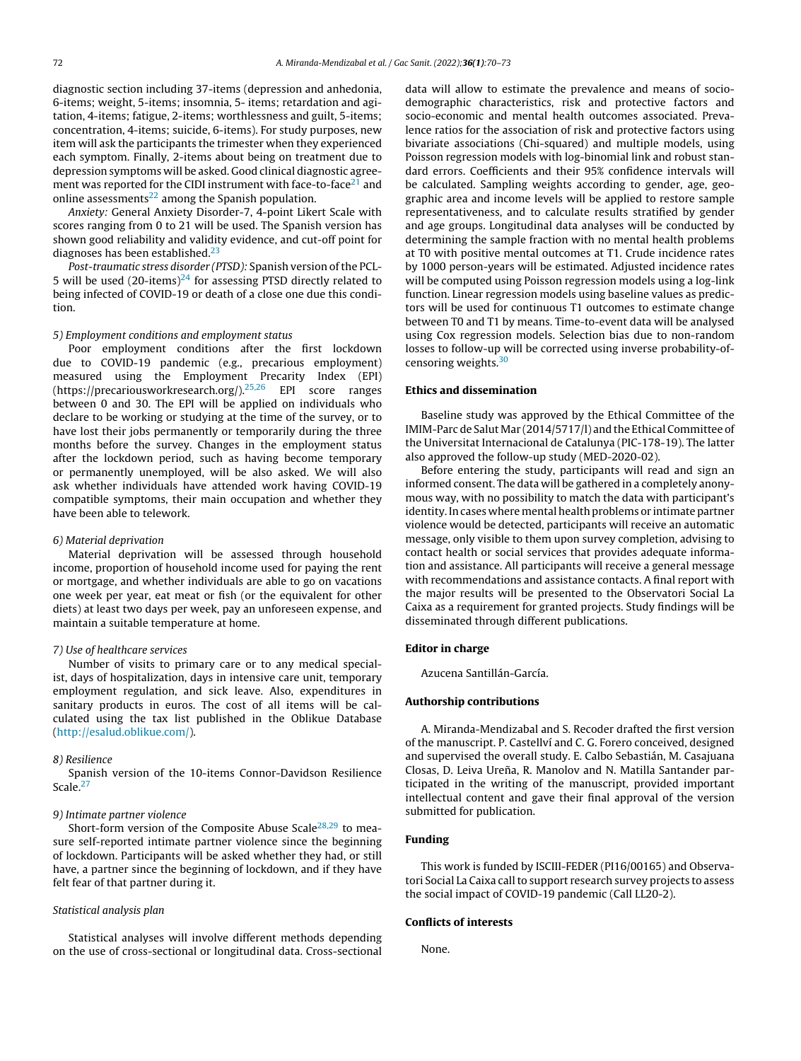diagnostic section including 37-items (depression and anhedonia, 6-items; weight, 5-items; insomnia, 5- items; retardation and agitation, 4-items; fatigue, 2-items; worthlessness and guilt, 5-items; concentration, 4-items; suicide, 6-items). For study purposes, new item will ask the participants the trimester when they experienced each symptom. Finally, 2-items about being on treatment due to depression symptoms will be asked. Good clinical diagnostic agreement was reported for the CIDI instrument with face-to-face $21$  and online assessments $^{22}$  $^{22}$  $^{22}$  among the Spanish population.

Anxiety: General Anxiety Disorder-7, 4-point Likert Scale with scores ranging from 0 to 21 will be used. The Spanish version has shown good reliability and validity evidence, and cut-off point for diagnoses has been established.[23](#page-3-0)

Post-traumatic stress disorder (PTSD): Spanish version of the PCL-5 will be used  $(20$ -items)<sup>[24](#page-3-0)</sup> for assessing PTSD directly related to being infected of COVID-19 or death of a close one due this condition.

## 5) Employment conditions and employment status

Poor employment conditions after the first lockdown due to COVID-19 pandemic (e.g., precarious employment) measured using the Employment Precarity Index (EPI) (https://precariousworkresearch.org/).[25,26](#page-3-0) EPI score ranges between 0 and 30. The EPI will be applied on individuals who declare to be working or studying at the time of the survey, or to have lost their jobs permanently or temporarily during the three months before the survey. Changes in the employment status after the lockdown period, such as having become temporary or permanently unemployed, will be also asked. We will also ask whether individuals have attended work having COVID-19 compatible symptoms, their main occupation and whether they have been able to telework.

#### 6) Material deprivation

Material deprivation will be assessed through household income, proportion of household income used for paying the rent or mortgage, and whether individuals are able to go on vacations one week per year, eat meat or fish (or the equivalent for other diets) at least two days per week, pay an unforeseen expense, and maintain a suitable temperature at home.

#### 7) Use of healthcare services

Number of visits to primary care or to any medical specialist, days of hospitalization, days in intensive care unit, temporary employment regulation, and sick leave. Also, expenditures in sanitary products in euros. The cost of all items will be calculated using the tax list published in the Oblikue Database (<http://esalud.oblikue.com/>).

#### 8) Resilience

Spanish version of the 10-items Connor-Davidson Resilience Scale.<sup>[27](#page-3-0)</sup>

#### 9) Intimate partner violence

Short-form version of the Composite Abuse Scale<sup>[28,29](#page-3-0)</sup> to measure self-reported intimate partner violence since the beginning of lockdown. Participants will be asked whether they had, or still have, a partner since the beginning of lockdown, and if they have felt fear of that partner during it.

# Statistical analysis plan

Statistical analyses will involve different methods depending on the use of cross-sectional or longitudinal data. Cross-sectional data will allow to estimate the prevalence and means of sociodemographic characteristics, risk and protective factors and socio-economic and mental health outcomes associated. Prevalence ratios for the association of risk and protective factors using bivariate associations (Chi-squared) and multiple models, using Poisson regression models with log-binomial link and robust standard errors. Coefficients and their 95% confidence intervals will be calculated. Sampling weights according to gender, age, geographic area and income levels will be applied to restore sample representativeness, and to calculate results stratified by gender and age groups. Longitudinal data analyses will be conducted by determining the sample fraction with no mental health problems at T0 with positive mental outcomes at T1. Crude incidence rates by 1000 person-years will be estimated. Adjusted incidence rates will be computed using Poisson regression models using a log-link function. Linear regression models using baseline values as predictors will be used for continuous T1 outcomes to estimate change between T0 and T1 by means. Time-to-event data will be analysed using Cox regression models. Selection bias due to non-random losses to follow-up will be corrected using inverse probability-ofcensoring weights.[30](#page-3-0)

#### Ethics and dissemination

Baseline study was approved by the Ethical Committee of the IMIM-Parc de Salut Mar (2014/5717/l) and the Ethical Committee of the Universitat Internacional de Catalunya (PIC-178-19). The latter also approved the follow-up study (MED-2020-02).

Before entering the study, participants will read and sign an informed consent. The data will be gathered in a completely anonymous way, with no possibility to match the data with participant's identity. In cases where mental health problems or intimate partner violence would be detected, participants will receive an automatic message, only visible to them upon survey completion, advising to contact health or social services that provides adequate information and assistance. All participants will receive a general message with recommendations and assistance contacts. A final report with the major results will be presented to the Observatori Social La Caixa as a requirement for granted projects. Study findings will be disseminated through different publications.

# Editor in charge

Azucena Santillán-García.

# Authorship contributions

A. Miranda-Mendizabal and S. Recoder drafted the first version of the manuscript. P. Castellví and C. G. Forero conceived, designed and supervised the overall study. E. Calbo Sebastián, M. Casajuana Closas, D. Leiva Ureña, R. Manolov and N. Matilla Santander participated in the writing of the manuscript, provided important intellectual content and gave their final approval of the version submitted for publication.

# Funding

This work is funded by ISCIII-FEDER (PI16/00165) and Observatori Social La Caixa call to support research survey projects to assess the social impact of COVID-19 pandemic (Call LL20-2).

# Conflicts of interests

None.